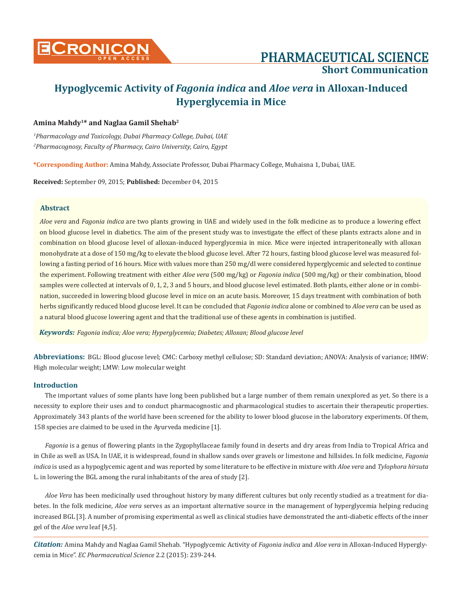

# **Short Communication**

# **Hypoglycemic Activity of** *Fagonia indica* **and** *Aloe vera* **in Alloxan-Induced Hyperglycemia in Mice**

## **Amina Mahdy1\* and Naglaa Gamil Shehab2**

*1 Pharmacology and Toxicology, Dubai Pharmacy College, Dubai, UAE 2 Pharmacognosy, Faculty of Pharmacy, Cairo University, Cairo, Egypt*

**\*Corresponding Author:** Amina Mahdy, Associate Professor, Dubai Pharmacy College, Muhaisna 1, Dubai, UAE.

**Received:** September 09, 2015; **Published:** December 04, 2015

#### **Abstract**

*Aloe vera* and *Fagonia indica* are two plants growing in UAE and widely used in the folk medicine as to produce a lowering effect on blood glucose level in diabetics. The aim of the present study was to investigate the effect of these plants extracts alone and in combination on blood glucose level of alloxan-induced hyperglycemia in mice. Mice were injected intraperitoneally with alloxan monohydrate at a dose of 150 mg/kg to elevate the blood glucose level. After 72 hours, fasting blood glucose level was measured following a fasting period of 16 hours. Mice with values more than 250 mg/dl were considered hyperglycemic and selected to continue the experiment. Following treatment with either *Aloe vera* (500 mg/kg) or *Fagonia indica* (500 mg/kg) or their combination, blood samples were collected at intervals of 0, 1, 2, 3 and 5 hours, and blood glucose level estimated. Both plants, either alone or in combination, succeeded in lowering blood glucose level in mice on an acute basis. Moreover, 15 days treatment with combination of both herbs significantly reduced blood glucose level. It can be concluded that *Fagonia indica* alone or combined to *Aloe vera* can be used as a natural blood glucose lowering agent and that the traditional use of these agents in combination is justified.

*Keywords: Fagonia indica; Aloe vera; Hyperglycemia; Diabetes; Alloxan; Blood glucose level*

**Abbreviations:** BGL: Blood glucose level; CMC: Carboxy methyl cellulose; SD: Standard deviation; ANOVA: Analysis of variance; HMW: High molecular weight; LMW: Low molecular weight

#### **Introduction**

The important values of some plants have long been published but a large number of them remain unexplored as yet. So there is a necessity to explore their uses and to conduct pharmacognostic and pharmacological studies to ascertain their therapeutic properties. Approximately 343 plants of the world have been screened for the ability to lower blood glucose in the laboratory experiments. Of them, 158 species are claimed to be used in the Ayurveda medicine [1].

*Fagonia* is a genus of flowering plants in the Zygophyllaceae family found in deserts and dry areas from India to Tropical Africa and in Chile as well as USA. In UAE, it is widespread, found in shallow sands over gravels or limestone and hillsides. In folk medicine, *Fagonia indica* is used as a hypoglycemic agent and was reported by some literature to be effective in mixture with *Aloe vera* and *Tylophora hirsuta* L. in lowering the BGL among the rural inhabitants of the area of study [2].

*Aloe Vera* has been medicinally used throughout history by many different cultures but only recently studied as a treatment for diabetes. In the folk medicine, *Aloe vera* serves as an important alternative source in the management of hyperglycemia helping reducing increased BGL [3]. A number of promising experimental as well as clinical studies have demonstrated the anti-diabetic effects of the inner gel of the *Aloe vera* leaf [4,5].

*Citation:* Amina Mahdy and Naglaa Gamil Shehab. "Hypoglycemic Activity of *Fagonia indica* and *Aloe vera* in Alloxan-Induced Hyperglycemia in Mice". *EC Pharmaceutical Science* 2.2 (2015): 239-244.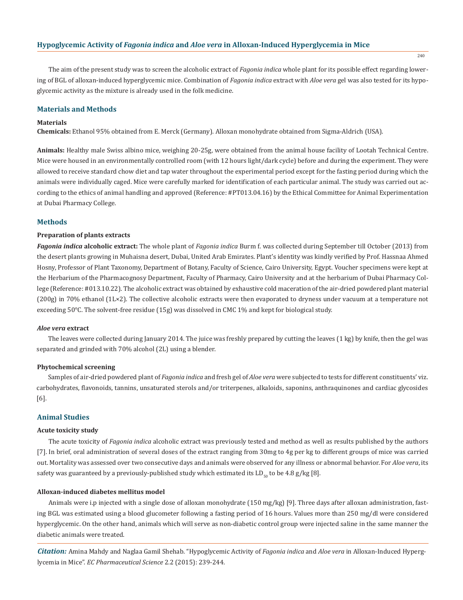#### **Hypoglycemic Activity of** *Fagonia indica* **and** *Aloe vera* **in Alloxan-Induced Hyperglycemia in Mice**

240

The aim of the present study was to screen the alcoholic extract of *Fagonia indica* whole plant for its possible effect regarding lowering of BGL of alloxan-induced hyperglycemic mice. Combination of *Fagonia indica* extract with *Aloe vera* gel was also tested for its hypoglycemic activity as the mixture is already used in the folk medicine.

#### **Materials and Methods**

#### **Materials**

**Chemicals:** Ethanol 95% obtained from E. Merck (Germany). Alloxan monohydrate obtained from Sigma-Aldrich (USA).

**Animals:** Healthy male Swiss albino mice, weighing 20-25g, were obtained from the animal house facility of Lootah Technical Centre. Mice were housed in an environmentally controlled room (with 12 hours light/dark cycle) before and during the experiment. They were allowed to receive standard chow diet and tap water throughout the experimental period except for the fasting period during which the animals were individually caged. Mice were carefully marked for identification of each particular animal. The study was carried out according to the ethics of animal handling and approved (Reference: #PT013.04.16) by the Ethical Committee for Animal Experimentation at Dubai Pharmacy College.

#### **Methods**

#### **Preparation of plants extracts**

*Fagonia indica* **alcoholic extract:** The whole plant of *Fagonia indica* Burm f. was collected during September till October (2013) from the desert plants growing in Muhaisna desert, Dubai, United Arab Emirates. Plant's identity was kindly verified by Prof. Hassnaa Ahmed Hosny, Professor of Plant Taxonomy, Department of Botany, Faculty of Science, Cairo University, Egypt. Voucher specimens were kept at the Herbarium of the Pharmacognosy Department, Faculty of Pharmacy, Cairo University and at the herbarium of Dubai Pharmacy College (Reference: #013.10.22). The alcoholic extract was obtained by exhaustive cold maceration of the air-dried powdered plant material (200g) in 70% ethanol (1L×2). The collective alcoholic extracts were then evaporated to dryness under vacuum at a temperature not exceeding 50°C. The solvent-free residue (15g) was dissolved in CMC 1% and kept for biological study.

#### *Aloe vera* **extract**

The leaves were collected during January 2014. The juice was freshly prepared by cutting the leaves (1 kg) by knife, then the gel was separated and grinded with 70% alcohol (2L) using a blender.

#### **Phytochemical screening**

Samples of air-dried powdered plant of *Fagonia indica* and fresh gel of *Aloe vera* were subjected to tests for different constituents' viz. carbohydrates, flavonoids, tannins, unsaturated sterols and/or triterpenes, alkaloids, saponins, anthraquinones and cardiac glycosides [6].

#### **Animal Studies**

#### **Acute toxicity study**

The acute toxicity of *Fagonia indica* alcoholic extract was previously tested and method as well as results published by the authors [7]. In brief, oral administration of several doses of the extract ranging from 30mg to 4g per kg to different groups of mice was carried out. Mortality was assessed over two consecutive days and animals were observed for any illness or abnormal behavior. For *Aloe vera*, its safety was guaranteed by a previously-published study which estimated its  $LD_{50}$  to be 4.8 g/kg [8].

#### **Alloxan-induced diabetes mellitus model**

Animals were i.p injected with a single dose of alloxan monohydrate (150 mg/kg) [9]. Three days after alloxan administration, fasting BGL was estimated using a blood glucometer following a fasting period of 16 hours. Values more than 250 mg/dl were considered hyperglycemic. On the other hand, animals which will serve as non-diabetic control group were injected saline in the same manner the diabetic animals were treated.

*Citation:* Amina Mahdy and Naglaa Gamil Shehab. "Hypoglycemic Activity of *Fagonia indica* and *Aloe vera* in Alloxan-Induced Hyperglycemia in Mice". *EC Pharmaceutical Science* 2.2 (2015): 239-244.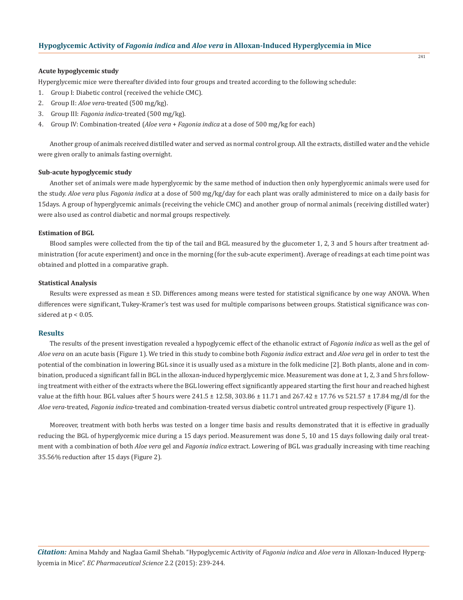#### **Acute hypoglycemic study**

Hyperglycemic mice were thereafter divided into four groups and treated according to the following schedule:

- 1. Group I: Diabetic control (received the vehicle CMC).
- 2. Group II: *Aloe vera*-treated (500 mg/kg).
- 3. Group III: *Fagonia indica*-treated (500 mg/kg).
- 4. Group IV: Combination-treated (*Aloe vera* + *Fagonia indica* at a dose of 500 mg/kg for each)

Another group of animals received distilled water and served as normal control group. All the extracts, distilled water and the vehicle were given orally to animals fasting overnight.

#### **Sub-acute hypoglycemic study**

Another set of animals were made hyperglycemic by the same method of induction then only hyperglycemic animals were used for the study. *Aloe vera* plus *Fagonia indica* at a dose of 500 mg/kg/day for each plant was orally administered to mice on a daily basis for 15days. A group of hyperglycemic animals (receiving the vehicle CMC) and another group of normal animals (receiving distilled water) were also used as control diabetic and normal groups respectively.

## **Estimation of BGL**

Blood samples were collected from the tip of the tail and BGL measured by the glucometer 1, 2, 3 and 5 hours after treatment administration (for acute experiment) and once in the morning (for the sub-acute experiment). Average of readings at each time point was obtained and plotted in a comparative graph.

#### **Statistical Analysis**

Results were expressed as mean ± SD. Differences among means were tested for statistical significance by one way ANOVA. When differences were significant, Tukey-Kramer's test was used for multiple comparisons between groups. Statistical significance was considered at  $p < 0.05$ .

#### **Results**

The results of the present investigation revealed a hypoglycemic effect of the ethanolic extract of *Fagonia indica* as well as the gel of *Aloe vera* on an acute basis (Figure 1). We tried in this study to combine both *Fagonia indica* extract and *Aloe vera* gel in order to test the potential of the combination in lowering BGL since it is usually used as a mixture in the folk medicine [2]. Both plants, alone and in combination, produced a significant fall in BGL in the alloxan-induced hyperglycemic mice. Measurement was done at 1, 2, 3 and 5 hrs following treatment with either of the extracts where the BGL lowering effect significantly appeared starting the first hour and reached highest value at the fifth hour. BGL values after 5 hours were  $241.5 \pm 12.58$ ,  $303.86 \pm 11.71$  and  $267.42 \pm 17.76$  vs  $521.57 \pm 17.84$  mg/dl for the *Aloe vera*-treated, *Fagonia indica*-treated and combination-treated versus diabetic control untreated group respectively (Figure 1).

Moreover, treatment with both herbs was tested on a longer time basis and results demonstrated that it is effective in gradually reducing the BGL of hyperglycemic mice during a 15 days period. Measurement was done 5, 10 and 15 days following daily oral treatment with a combination of both *Aloe vera* gel and *Fagonia indica* extract. Lowering of BGL was gradually increasing with time reaching 35.56% reduction after 15 days (Figure 2).

*Citation:* Amina Mahdy and Naglaa Gamil Shehab. "Hypoglycemic Activity of *Fagonia indica* and *Aloe vera* in Alloxan-Induced Hyperglycemia in Mice". *EC Pharmaceutical Science* 2.2 (2015): 239-244.

241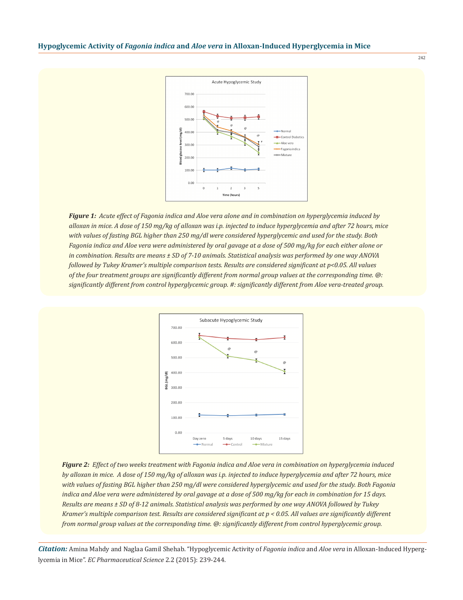

*Figure 1: Acute effect of Fagonia indica and Aloe vera alone and in combination on hyperglycemia induced by alloxan in mice. A dose of 150 mg/kg of alloxan was i.p. injected to induce hyperglycemia and after 72 hours, mice with values of fasting BGL higher than 250 mg/dl were considered hyperglycemic and used for the study. Both Fagonia indica and Aloe vera were administered by oral gavage at a dose of 500 mg/kg for each either alone or in combination. Results are means ± SD of 7-10 animals. Statistical analysis was performed by one way ANOVA followed by Tukey Kramer's multiple comparison tests. Results are considered significant at p<0.05. All values of the four treatment groups are significantly different from normal group values at the corresponding time. @: significantly different from control hyperglycemic group. #: significantly different from Aloe vera-treated group.*



*Figure 2: Effect of two weeks treatment with Fagonia indica and Aloe vera in combination on hyperglycemia induced by alloxan in mice. A dose of 150 mg/kg of alloxan was i.p. injected to induce hyperglycemia and after 72 hours, mice with values of fasting BGL higher than 250 mg/dl were considered hyperglycemic and used for the study. Both Fagonia indica and Aloe vera were administered by oral gavage at a dose of 500 mg/kg for each in combination for 15 days. Results are means ± SD of 8-12 animals. Statistical analysis was performed by one way ANOVA followed by Tukey Kramer's multiple comparison test. Results are considered significant at p < 0.05. All values are significantly different from normal group values at the corresponding time. @: significantly different from control hyperglycemic group.* 

*Citation:* Amina Mahdy and Naglaa Gamil Shehab. "Hypoglycemic Activity of *Fagonia indica* and *Aloe vera* in Alloxan-Induced Hyperglycemia in Mice". *EC Pharmaceutical Science* 2.2 (2015): 239-244.

242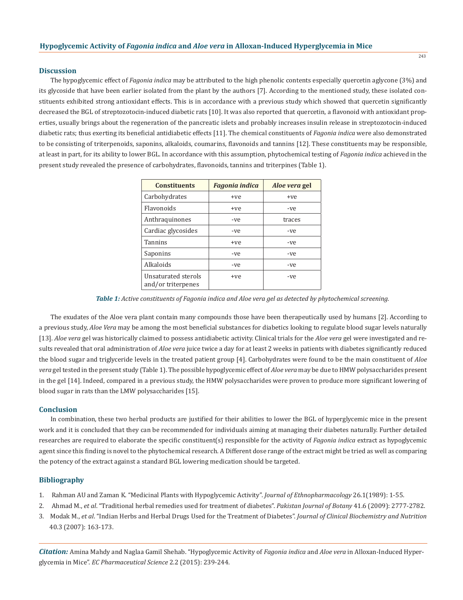#### **Discussion**

The hypoglycemic effect of *Fagonia indica* may be attributed to the high phenolic contents especially quercetin aglycone (3%) and its glycoside that have been earlier isolated from the plant by the authors [7]. According to the mentioned study, these isolated constituents exhibited strong antioxidant effects. This is in accordance with a previous study which showed that quercetin significantly decreased the BGL of streptozotocin-induced diabetic rats [10]. It was also reported that quercetin, a flavonoid with antioxidant properties, usually brings about the regeneration of the pancreatic islets and probably increases insulin release in streptozotocin-induced diabetic rats; thus exerting its beneficial antidiabetic effects [11]. The chemical constituents of *Fagonia indica* were also demonstrated to be consisting of triterpenoids, saponins, alkaloids, coumarins, flavonoids and tannins [12]. These constituents may be responsible, at least in part, for its ability to lower BGL. In accordance with this assumption, phytochemical testing of *Fagonia indica* achieved in the present study revealed the presence of carbohydrates, flavonoids, tannins and triterpines (Table 1).

| <b>Constituents</b>                       | <b>Fagonia indica</b> | <i>Aloe vera</i> gel |
|-------------------------------------------|-----------------------|----------------------|
| Carbohydrates                             | +ve                   | +ye                  |
| <b>Flavonoids</b>                         | +ye                   | -ve                  |
| Anthraquinones                            | -ve                   | traces               |
| Cardiac glycosides                        | -ve                   | -ve                  |
| <b>Tannins</b>                            | +ve                   | -ve                  |
| Saponins                                  | -ve                   | -ve                  |
| Alkaloids                                 | -ve                   | -ve                  |
| Unsaturated sterols<br>and/or triterpenes | +ve                   | -ve                  |

*Table 1: Active constituents of Fagonia indica and Aloe vera gel as detected by phytochemical screening.*

The exudates of the Aloe vera plant contain many compounds those have been therapeutically used by humans [2]. According to a previous study, *Aloe Vera* may be among the most beneficial substances for diabetics looking to regulate blood sugar levels naturally [13]. *Aloe vera* gel was historically claimed to possess antidiabetic activity. Clinical trials for the *Aloe vera* gel were investigated and results revealed that oral administration of *Aloe vera* juice twice a day for at least 2 weeks in patients with diabetes significantly reduced the blood sugar and triglyceride levels in the treated patient group [4]. Carbohydrates were found to be the main constituent of *Aloe vera* gel tested in the present study (Table 1). The possible hypoglycemic effect of *Aloe vera* may be due to HMW polysaccharides present in the gel [14]. Indeed, compared in a previous study, the HMW polysaccharides were proven to produce more significant lowering of blood sugar in rats than the LMW polysaccharides [15].

#### **Conclusion**

In combination, these two herbal products are justified for their abilities to lower the BGL of hyperglycemic mice in the present work and it is concluded that they can be recommended for individuals aiming at managing their diabetes naturally. Further detailed researches are required to elaborate the specific constituent(s) responsible for the activity of *Fagonia indica* extract as hypoglycemic agent since this finding is novel to the phytochemical research. A Different dose range of the extract might be tried as well as comparing the potency of the extract against a standard BGL lowering medication should be targeted.

#### **Bibliography**

- 1. Rahman AU and Zaman K. "Medicinal Plants with Hypoglycemic Activity". *Journal of Ethnopharmacology* 26.1(1989): 1-55.
- 2. Ahmad M., *et al*. "Traditional herbal remedies used for treatment of diabetes". *Pakistan Journal of Botany* 41.6 (2009): 2777-2782.
- 3. Modak M., *et al*. "Indian Herbs and Herbal Drugs Used for the Treatment of Diabetes". *Journal of Clinical Biochemistry and Nutrition* 40.3 (2007): 163-173.

*Citation:* Amina Mahdy and Naglaa Gamil Shehab. "Hypoglycemic Activity of *Fagonia indica* and *Aloe vera* in Alloxan-Induced Hyperglycemia in Mice". *EC Pharmaceutical Science* 2.2 (2015): 239-244.